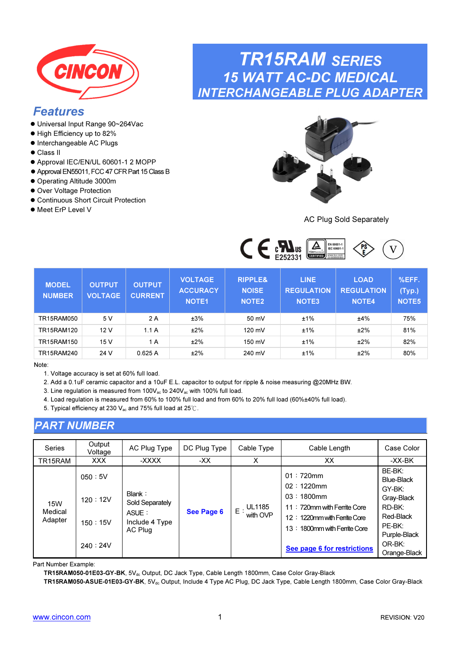<span id="page-0-0"></span>

### Features

- Universal Input Range 90~264Vac
- $\bullet$  High Efficiency up to 82%
- $\bullet$  Interchangeable AC Plugs
- Class II
- Approval IEC/EN/UL 60601-1 2 MOPP
- Approval EN55011, FCC 47 CFR Part 15 Class B
- Operating Altitude 3000m
- Over Voltage Protection
- Continuous Short Circuit Protection
- Meet ErP Level V

## TR15RAM SERIES 15 WATT AC-DC MEDICAL INTERCHANGEABLE PLUG ADAPTER



AC Plug Sold Separately



| <b>MODEL</b><br><b>NUMBER</b> | <b>OUTPUT</b><br><b>VOLTAGE</b> | <b>OUTPUT</b><br><b>CURRENT</b> | <b>VOLTAGE</b><br><b>ACCURACY</b><br><b>NOTE1</b> | <b>RIPPLE&amp;</b><br><b>NOISE</b><br>NOTE <sub>2</sub> | <b>LINE</b><br><b>REGULATION</b><br><b>NOTE3</b> | <b>LOAD</b><br><b>REGULATION</b><br><b>NOTE4</b> | %EFF.<br>(Typ.)<br><b>NOTE5</b> |
|-------------------------------|---------------------------------|---------------------------------|---------------------------------------------------|---------------------------------------------------------|--------------------------------------------------|--------------------------------------------------|---------------------------------|
| <b>TR15RAM050</b>             | 5 V                             | 2 A                             | ±3%                                               | 50 mV                                                   | ±1%                                              | ±4%                                              | 75%                             |
| TR15RAM120                    | 12V                             | 1.1A                            | ±2%                                               | 120 mV                                                  | ±1%                                              | ±2%                                              | 81%                             |
| TR15RAM150                    | 15 V                            | 1 A                             | ±2%                                               | 150 mV                                                  | ±1%                                              | ±2%                                              | 82%                             |
| TR15RAM240                    | 24 V                            | 0.625A                          | ±2%                                               | 240 mV                                                  | ±1%                                              | ±2%                                              | 80%                             |

Note:

- 1. Voltage accuracy is set at 60% full load.
- 2. Add a 0.1uF ceramic capacitor and a 10uF E.L. capacitor to output for ripple & noise measuring @20MHz BW.
- 3. Line regulation is measured from 100V<sub>ac</sub> to 240V<sub>ac</sub> with 100% full load.
- 4. Load regulation is measured from 60% to 100% full load and from 60% to 20% full load (60%±40% full load).
- 5. Typical efficiency at 230 Vac and 75% full load at 25℃.

### PART NUMBER

| <b>Series</b>                    | Output<br>Voltage                       | AC Plug Type                                                    | DC Plug Type | Cable Type                         | Cable Length                                                                                                                                                             | Case Color                                                                                                                |
|----------------------------------|-----------------------------------------|-----------------------------------------------------------------|--------------|------------------------------------|--------------------------------------------------------------------------------------------------------------------------------------------------------------------------|---------------------------------------------------------------------------------------------------------------------------|
| TR15RAM                          | <b>XXX</b>                              | -XXXX                                                           | -XX          | X                                  | ХX                                                                                                                                                                       | -XX-BK                                                                                                                    |
| <b>15W</b><br>Medical<br>Adapter | 050:5V<br>120:12V<br>150:15V<br>240:24V | Blank:<br>Sold Separately<br>ASUE:<br>Include 4 Type<br>AC Plug | See Page 6   | <b>UL1185</b><br>$E$ :<br>with OVP | $01:720$ mm<br>$02:1220$ mm<br>$03:1800$ mm<br>11: 720mm with Ferrite Core<br>12: 1220mm with Femite Core<br>13: 1800mm with Ferrite Core<br>See page 6 for restrictions | BE-BK:<br>Blue-Black<br>GY-BK:<br>Gray-Black<br>$RD-BK:$<br>Red-Black<br>PE-BK:<br>Purple-Black<br>OR-BK:<br>Orange-Black |

Part Number Example:

TR15RAM050-01E03-GY-BK, 5Vdc Output, DC Jack Type, Cable Length 1800mm, Case Color Gray-Black

TR15RAM050-ASUE-01E03-GY-BK, 5V<sub>dc</sub> Output, Include 4 Type AC Plug, DC Jack Type, Cable Length 1800mm, Case Color Gray-Black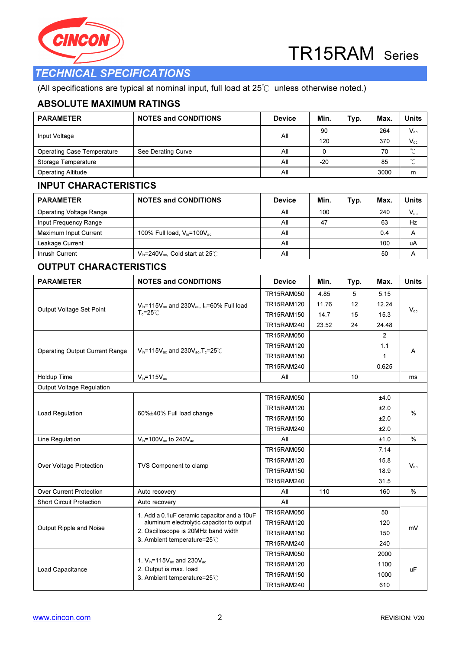



### TECHNICAL SPECIFICATIONS

(All specifications are typical at nominal input, full load at 25℃ unless otherwise noted.)

#### ABSOLUTE MAXIMUM RATINGS

| <b>PARAMETER</b>                  | <b>NOTES and CONDITIONS</b> | <b>Device</b> | Min.  | Typ. | Max. | Units    |
|-----------------------------------|-----------------------------|---------------|-------|------|------|----------|
| Input Voltage                     |                             | All           | 90    |      | 264  | $V_{ac}$ |
|                                   |                             |               | 120   |      | 370  | $V_{dc}$ |
| <b>Operating Case Temperature</b> | See Derating Curve          | All           |       |      | 70   | $\sim$   |
| Storage Temperature               |                             | All           | $-20$ |      | 85   | $\sim$   |
| <b>Operating Altitude</b>         |                             | All           |       |      | 3000 | m        |

#### INPUT CHARACTERISTICS

| <b>PARAMETER</b>               | <b>NOTES and CONDITIONS</b>                 | <b>Device</b> | Min. | Typ. | Max. | Units        |
|--------------------------------|---------------------------------------------|---------------|------|------|------|--------------|
| <b>Operating Voltage Range</b> |                                             | All           | 100  |      | 240  | $V_{\rm ac}$ |
| Input Frequency Range          |                                             | All           | 47   |      | 63   | Hz           |
| Maximum Input Current          | 100% Full load, $V_{in}$ =100 $V_{ac}$      | All           |      |      | 0.4  | Α            |
| Leakage Current                |                                             | All           |      |      | 100  | uA           |
| Inrush Current                 | $V_{in}$ =240 $V_{ac}$ , Cold start at 25°C | All           |      |      | 50   | A            |

#### OUTPUT CHARACTERISTICS

| <b>PARAMETER</b>                      | <b>NOTES and CONDITIONS</b>                                      | <b>Device</b>     | Min.  | Typ. | Max.           | <b>Units</b>  |  |
|---------------------------------------|------------------------------------------------------------------|-------------------|-------|------|----------------|---------------|--|
|                                       |                                                                  | <b>TR15RAM050</b> | 4.85  | 5    | 5.15           |               |  |
| Output Voltage Set Point              | $V_{in}$ =115 $V_{ac}$ and 230 $V_{ac}$ , $I_{o}$ =60% Full load | TR15RAM120        | 11.76 | 12   | 12.24          | $V_{dc}$      |  |
|                                       | $T_c = 25^\circ C$                                               | <b>TR15RAM150</b> | 14.7  | 15   | 15.3           |               |  |
|                                       |                                                                  | TR15RAM240        | 23.52 | 24   | 24.48          |               |  |
|                                       |                                                                  | <b>TR15RAM050</b> |       |      | $\overline{2}$ |               |  |
|                                       | $V_{in}$ =115 $V_{ac}$ and 230 $V_{ac}$ , T <sub>c</sub> =25°C   | TR15RAM120        |       |      | 1.1            |               |  |
| <b>Operating Output Current Range</b> |                                                                  | TR15RAM150        |       |      | 1              | A             |  |
|                                       |                                                                  | TR15RAM240        |       |      | 0.625          |               |  |
| <b>Holdup Time</b>                    | $V_{in} = 115V_{ac}$                                             | All               |       | 10   |                | ms            |  |
| Output Voltage Regulation             |                                                                  |                   |       |      |                |               |  |
|                                       |                                                                  | <b>TR15RAM050</b> |       |      | ±4.0           |               |  |
|                                       |                                                                  | <b>TR15RAM120</b> |       |      | ±2.0           | $\frac{0}{0}$ |  |
| Load Regulation                       | 60%±40% Full load change                                         | <b>TR15RAM150</b> |       |      | ±2.0           |               |  |
|                                       |                                                                  | TR15RAM240        |       |      | ±2.0           |               |  |
| Line Regulation                       | $V_{in}$ =100 $V_{ac}$ to 240 $V_{ac}$                           | All               |       |      | ±1.0           | $\frac{0}{0}$ |  |
|                                       |                                                                  | <b>TR15RAM050</b> |       |      | 7.14           |               |  |
|                                       |                                                                  | <b>TR15RAM120</b> |       |      | 15.8           |               |  |
| Over Voltage Protection               | TVS Component to clamp                                           | <b>TR15RAM150</b> |       |      | 18.9           | $V_{dc}$      |  |
|                                       |                                                                  | TR15RAM240        |       |      | 31.5           |               |  |
| <b>Over Current Protection</b>        | Auto recovery                                                    | All               | 110   |      | 160            | $\%$          |  |
| <b>Short Circuit Protection</b>       | Auto recovery                                                    | All               |       |      |                |               |  |
|                                       | 1. Add a 0.1uF ceramic capacitor and a 10uF                      | <b>TR15RAM050</b> |       |      | 50             |               |  |
|                                       | aluminum electrolytic capacitor to output                        | TR15RAM120        |       |      | 120            |               |  |
| Output Ripple and Noise               | 2. Oscilloscope is 20MHz band width                              | <b>TR15RAM150</b> |       |      | 150            | mV            |  |
|                                       | 3. Ambient temperature=25°C                                      | TR15RAM240        |       |      | 240            |               |  |
|                                       |                                                                  | TR15RAM050        |       |      | 2000           |               |  |
|                                       | 1. $V_{in} = 115V_{ac}$ and 230 $V_{ac}$                         | TR15RAM120        |       |      | 1100           |               |  |
| Load Capacitance                      | 2. Output is max. load<br>3. Ambient temperature=25°C            | <b>TR15RAM150</b> |       |      | 1000           | <b>uF</b>     |  |
|                                       |                                                                  | TR15RAM240        |       |      | 610            |               |  |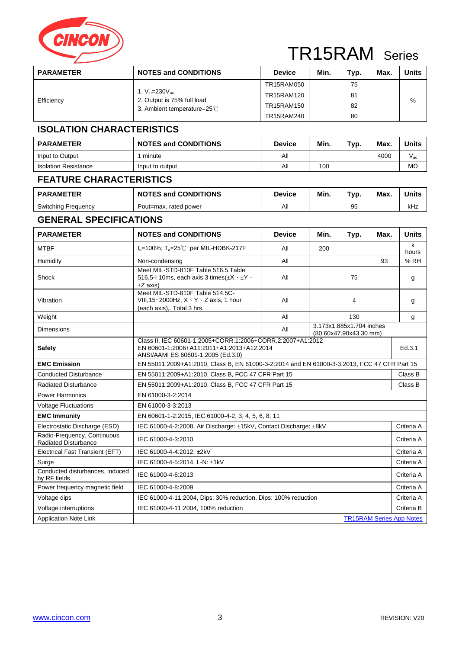

| <b>PARAMETER</b> | <b>NOTES and CONDITIONS</b>                                                            | <b>Device</b>     | Min. | Typ. | Max. | <b>Units</b> |
|------------------|----------------------------------------------------------------------------------------|-------------------|------|------|------|--------------|
|                  |                                                                                        | TR15RAM050        |      | 75   |      |              |
|                  | 1. $V_{in}$ =230 $V_{ac}$<br>2. Output is 75% full load<br>3. Ambient temperature=25°C | TR15RAM120        |      | 81   |      |              |
| Efficiency       |                                                                                        | <b>TR15RAM150</b> |      | 82   |      | %            |
|                  |                                                                                        | TR15RAM240        |      | 80   |      |              |

#### **ISOLATION CHARACTERISTICS**

| <b>PARAMETER</b>            | <b>NOTES and CONDITIONS</b> | <b>Device</b> | Min. | Typ. | Max. | Units     |
|-----------------------------|-----------------------------|---------------|------|------|------|-----------|
| Input to Output             | minute                      | All           |      |      | 4000 | V ac      |
| <b>Isolation Resistance</b> | Input to output             | All           | 100  |      |      | $M\Omega$ |

#### **FEATURE CHARACTERISTICS**

| <b>PARAMETER</b>    | <b>NOTES and CONDITIONS</b> | Device | Min. | Typ. | <b>Max</b> | Units |
|---------------------|-----------------------------|--------|------|------|------------|-------|
| Switching Frequency | Pout=max. rated power       | All    |      | 95   |            | kHz   |

#### **GENERAL SPECIFICATIONS**

| <b>PARAMETER</b>                                           | <b>NOTES and CONDITIONS</b>                                                                                                                   | <b>Device</b>                                      | Min. | Typ.                                               | Max.                            | <b>Units</b> |  |
|------------------------------------------------------------|-----------------------------------------------------------------------------------------------------------------------------------------------|----------------------------------------------------|------|----------------------------------------------------|---------------------------------|--------------|--|
| <b>MTBF</b>                                                | $I_0$ =100%; T <sub>a</sub> =25°C per MIL-HDBK-217F                                                                                           | All                                                | 200  |                                                    |                                 | k<br>hours   |  |
| Humidity                                                   | All<br>Non-condensing<br>93                                                                                                                   |                                                    |      |                                                    |                                 |              |  |
| Shock                                                      | Meet MIL-STD-810F Table 516.5, Table<br>516.5-1 10ms, each axis 3 times $(\pm X \cdot \pm Y \cdot$<br>All<br>75<br>$\pm Z$ axis)              |                                                    |      |                                                    |                                 | g            |  |
| Vibration                                                  | Meet MIL-STD-810F Table 514.5C-<br>VIII, 15~2000Hz, $X \cdot Y \cdot Z$ axis, 1 hour<br>(each axis),. Total 3 hrs.                            | All                                                |      | 4                                                  |                                 | g            |  |
| Weight                                                     |                                                                                                                                               | All                                                |      | 130                                                |                                 | g            |  |
| <b>Dimensions</b>                                          |                                                                                                                                               | All                                                |      | 3.173x1.885x1.704 inches<br>(80.60x47.90x43.30 mm) |                                 |              |  |
| <b>Safety</b>                                              | Class II, IEC 60601-1:2005+CORR.1:2006+CORR.2:2007+A1:2012<br>EN 60601-1:2006+A11:2011+A1:2013+A12:2014<br>ANSI/AAMI ES 60601-1:2005 (Ed.3.0) |                                                    |      |                                                    |                                 | Ed.3.1       |  |
| <b>EMC Emission</b>                                        | EN 55011:2009+A1:2010, Class B, EN 61000-3-2:2014 and EN 61000-3-3:2013, FCC 47 CFR Part 15                                                   |                                                    |      |                                                    |                                 |              |  |
| <b>Conducted Disturbance</b>                               | EN 55011:2009+A1:2010, Class B, FCC 47 CFR Part 15                                                                                            |                                                    |      |                                                    |                                 |              |  |
| <b>Radiated Disturbance</b>                                |                                                                                                                                               | EN 55011:2009+A1:2010, Class B, FCC 47 CFR Part 15 |      |                                                    |                                 |              |  |
| <b>Power Harmonics</b>                                     | EN 61000-3-2:2014                                                                                                                             |                                                    |      |                                                    |                                 |              |  |
| <b>Voltage Fluctuations</b>                                | EN 61000-3-3:2013                                                                                                                             |                                                    |      |                                                    |                                 |              |  |
| <b>EMC Immunity</b>                                        | EN 60601-1-2:2015, IEC 61000-4-2, 3, 4, 5, 6, 8, 11                                                                                           |                                                    |      |                                                    |                                 |              |  |
| Electrostatic Discharge (ESD)                              | IEC 61000-4-2:2008, Air Discharge: ±15kV, Contact Discharge: ±8kV                                                                             |                                                    |      |                                                    |                                 | Criteria A   |  |
| Radio-Frequency, Continuous<br><b>Radiated Disturbance</b> | IEC 61000-4-3:2010                                                                                                                            |                                                    |      |                                                    |                                 | Criteria A   |  |
| Electrical Fast Transient (EFT)                            | IEC 61000-4-4:2012, ±2kV                                                                                                                      |                                                    |      |                                                    |                                 | Criteria A   |  |
| Surge                                                      | IEC 61000-4-5:2014, L-N: ±1kV                                                                                                                 |                                                    |      |                                                    |                                 | Criteria A   |  |
| Conducted disturbances, induced<br>by RF fields            | IEC 61000-4-6:2013                                                                                                                            |                                                    |      |                                                    |                                 | Criteria A   |  |
| Power frequency magnetic field                             | IEC 61000-4-8:2009                                                                                                                            |                                                    |      |                                                    |                                 | Criteria A   |  |
| Voltage dips                                               | IEC 61000-4-11:2004, Dips: 30% reduction, Dips: 100% reduction                                                                                |                                                    |      |                                                    |                                 |              |  |
| Voltage interruptions                                      | IEC 61000-4-11:2004, 100% reduction                                                                                                           |                                                    |      |                                                    |                                 |              |  |
| <b>Application Note Link</b>                               |                                                                                                                                               |                                                    |      |                                                    | <b>TR15RAM Series App Notes</b> |              |  |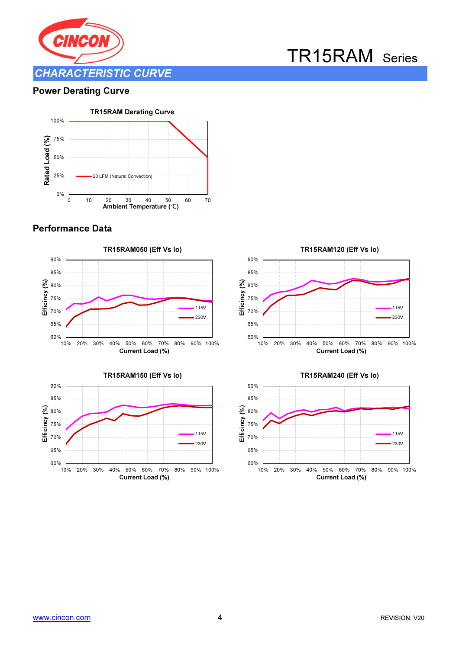

#### Power Derating Curve



#### Performance Data







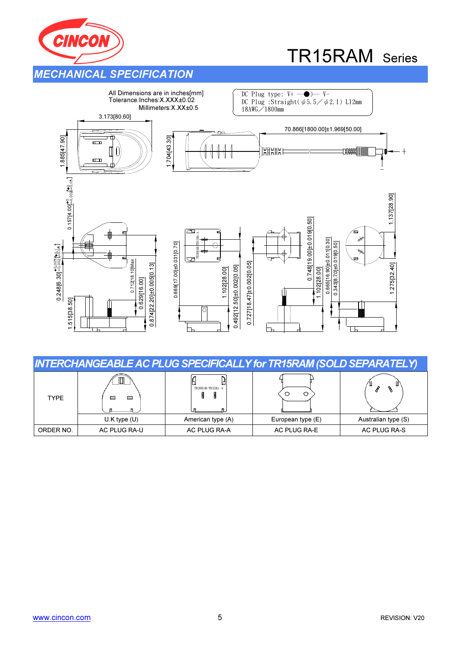



|             |                  |                   | <b>INTERCHANGEABLE AC PLUG SPECIFICALLY for TR15RAM (SOLD SEPARATELY)</b> |                     |
|-------------|------------------|-------------------|---------------------------------------------------------------------------|---------------------|
| <b>TYPE</b> | ⊟<br>⊟           | TR30RAM/TR15RA-A  |                                                                           |                     |
|             | $U.K$ type $(U)$ | American type (A) | European type (E)                                                         | Australian type (S) |
| ORDER NO.   | AC PLUG RA-U     | AC PLUG RA-A      | AC PLUG RA-E                                                              | AC PLUG RA-S        |